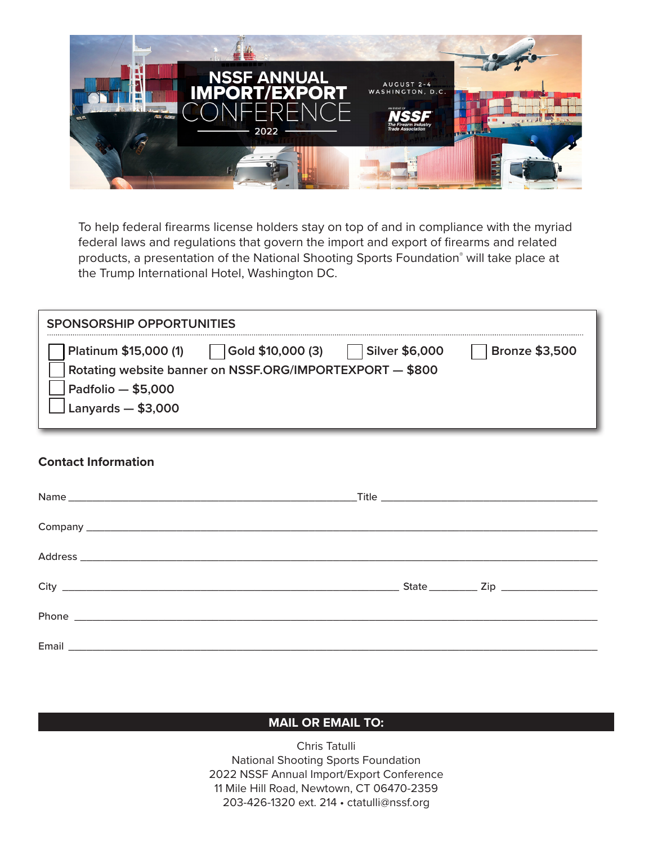

To help federal firearms license holders stay on top of and in compliance with the myriad federal laws and regulations that govern the import and export of firearms and related products, a presentation of the National Shooting Sports Foundation® will take place at the Trump International Hotel, Washington DC.

| SPONSORSHIP OPPORTUNITIES                                                                                                                                                       |                       |
|---------------------------------------------------------------------------------------------------------------------------------------------------------------------------------|-----------------------|
| Platinum \$15,000 (1)<br>Gold \$10,000 (3)<br><b>Silver \$6,000</b><br>Rotating website banner on NSSF.ORG/IMPORTEXPORT - \$800<br>Padfolio $-$ \$5,000<br>Lanyards $-$ \$3,000 | <b>Bronze \$3,500</b> |

## **Contact Information**

## **MAIL OR EMAIL TO:**

Chris Tatulli National Shooting Sports Foundation 2022 NSSF Annual Import/Export Conference 11 Mile Hill Road, Newtown, CT 06470-2359 203-426-1320 ext. 214 • [ctatulli@nssf.org](mailto:ctatulli@nssf.org)